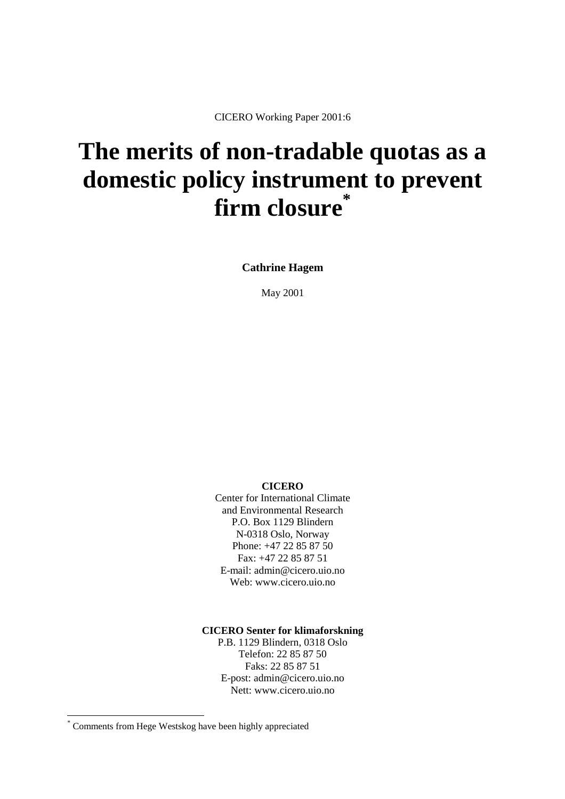CICERO Working Paper 2001:6

# **The merits of non-tradable quotas as a domestic policy instrument to prevent firm closure\***

**Cathrine Hagem**

May 2001

**CICERO** 

Center for International Climate and Environmental Research P.O. Box 1129 Blindern N-0318 Oslo, Norway Phone: +47 22 85 87 50 Fax: +47 22 85 87 51 E-mail: admin@cicero.uio.no Web: www.cicero.uio.no

**CICERO Senter for klimaforskning** 

P.B. 1129 Blindern, 0318 Oslo Telefon: 22 85 87 50 Faks: 22 85 87 51 E-post: admin@cicero.uio.no Nett: www.cicero.uio.no

l

<sup>\*</sup> Comments from Hege Westskog have been highly appreciated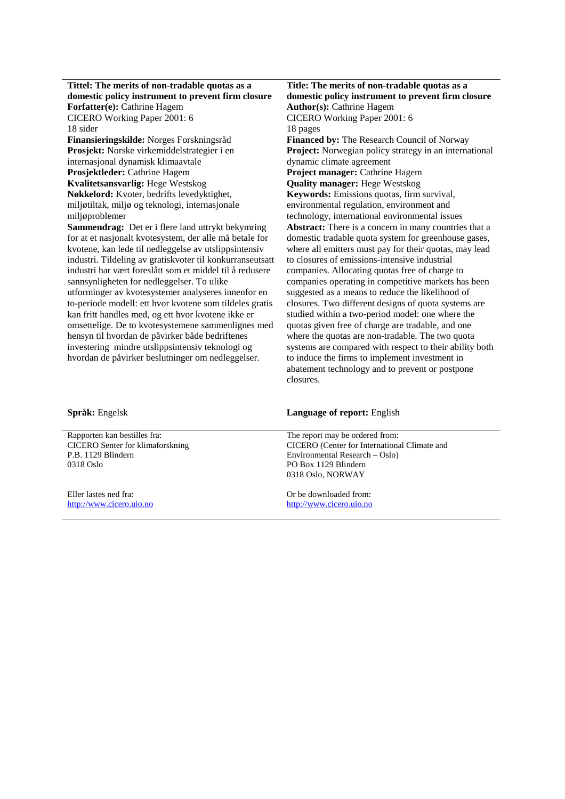| Tittel: The merits of non-tradable quotas as a            | Title: The merits of non-tradable quotas as a           |
|-----------------------------------------------------------|---------------------------------------------------------|
| domestic policy instrument to prevent firm closure        | domestic policy instrument to prevent firm closure      |
| Forfatter(e): Cathrine Hagem                              | <b>Author(s): Cathrine Hagem</b>                        |
| CICERO Working Paper 2001: 6                              | CICERO Working Paper 2001: 6                            |
| 18 sider                                                  | 18 pages                                                |
| Finansieringskilde: Norges Forskningsråd                  | <b>Financed by: The Research Council of Norway</b>      |
| Prosjekt: Norske virkemiddelstrategier i en               | Project: Norwegian policy strategy in an international  |
| internasjonal dynamisk klimaavtale                        | dynamic climate agreement                               |
| Prosjektleder: Cathrine Hagem                             | Project manager: Cathrine Hagem                         |
| Kvalitetsansvarlig: Hege Westskog                         | <b>Quality manager: Hege Westskog</b>                   |
| Nøkkelord: Kvoter, bedrifts levedyktighet,                | Keywords: Emissions quotas, firm survival,              |
| miljøtiltak, miljø og teknologi, internasjonale           | environmental regulation, environment and               |
| miljøproblemer                                            | technology, international environmental issues          |
| Sammendrag: Det er i flere land uttrykt bekymring         | Abstract: There is a concern in many countries that a   |
| for at et nasjonalt kvotesystem, der alle må betale for   | domestic tradable quota system for greenhouse gases,    |
| kvotene, kan lede til nedleggelse av utslippsintensiv     | where all emitters must pay for their quotas, may lead  |
| industri. Tildeling av gratiskvoter til konkurranseutsatt | to closures of emissions-intensive industrial           |
| industri har vært foreslått som et middel til å redusere  | companies. Allocating quotas free of charge to          |
| sannsynligheten for nedleggelser. To ulike                | companies operating in competitive markets has been     |
| utforminger av kvotesystemer analyseres innenfor en       | suggested as a means to reduce the likelihood of        |
| to-periode modell: ett hvor kvotene som tildeles gratis   | closures. Two different designs of quota systems are    |
| kan fritt handles med, og ett hvor kvotene ikke er        | studied within a two-period model: one where the        |
| omsettelige. De to kvotesystemene sammenlignes med        | quotas given free of charge are tradable, and one       |
| hensyn til hvordan de påvirker både bedriftenes           | where the quotas are non-tradable. The two quota        |
| investering mindre utslippsintensiv teknologi og          | systems are compared with respect to their ability both |
| hvordan de påvirker beslutninger om nedleggelser.         | to induce the firms to implement investment in          |
|                                                           | abatement technology and to prevent or postpone         |
|                                                           | closures.                                               |

## **Språk:** Engelsk **Language of report:** English

Rapporten kan bestilles fra: CICERO Senter for klimaforskning P.B. 1129 Blindern 0318 Oslo

Eller lastes ned fra: [http://www.cicero.uio.no](http://www.cicero.uio.no/) The report may be ordered from: CICERO (Center for International Climate and Environmental Research – Oslo) PO Box 1129 Blindern 0318 Oslo, NORWAY

Or be downloaded from: [http://www.cicero.uio.no](http://www.cicero.uio.no/)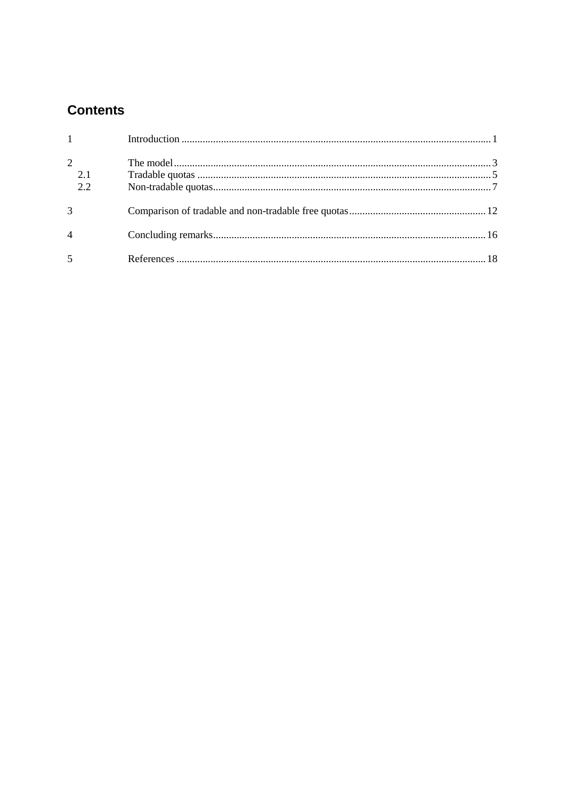# **Contents**

| $1 - 1$               |  |
|-----------------------|--|
| $\overline{2}$<br>2.1 |  |
| 2.2                   |  |
| 3                     |  |
| $\overline{4}$        |  |
| 5                     |  |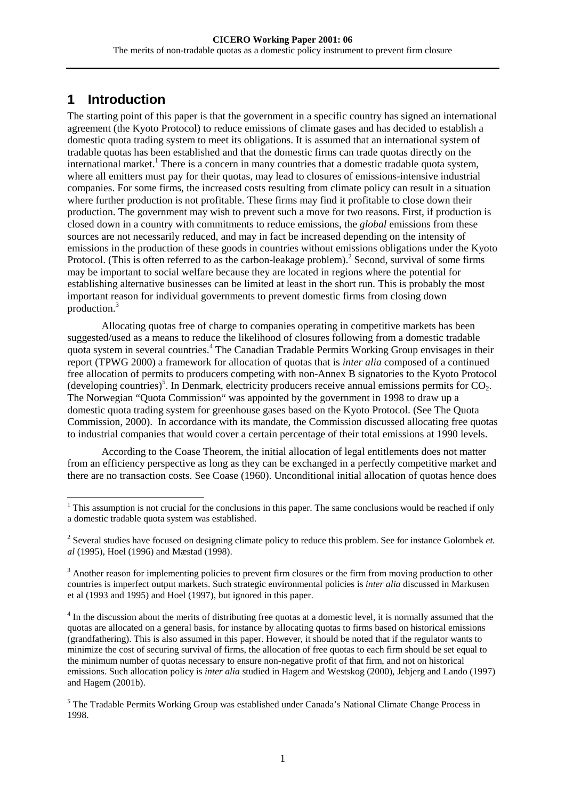# <span id="page-3-0"></span>**1 Introduction**

The starting point of this paper is that the government in a specific country has signed an international agreement (the Kyoto Protocol) to reduce emissions of climate gases and has decided to establish a domestic quota trading system to meet its obligations. It is assumed that an international system of tradable quotas has been established and that the domestic firms can trade quotas directly on the international market.<sup>1</sup> There is a concern in many countries that a domestic tradable quota system, where all emitters must pay for their quotas, may lead to closures of emissions-intensive industrial companies. For some firms, the increased costs resulting from climate policy can result in a situation where further production is not profitable. These firms may find it profitable to close down their production. The government may wish to prevent such a move for two reasons. First, if production is closed down in a country with commitments to reduce emissions, the *global* emissions from these sources are not necessarily reduced, and may in fact be increased depending on the intensity of emissions in the production of these goods in countries without emissions obligations under the Kyoto Protocol. (This is often referred to as the carbon-leakage problem).<sup>2</sup> Second, survival of some firms may be important to social welfare because they are located in regions where the potential for establishing alternative businesses can be limited at least in the short run. This is probably the most important reason for individual governments to prevent domestic firms from closing down production.<sup>3</sup>

Allocating quotas free of charge to companies operating in competitive markets has been suggested/used as a means to reduce the likelihood of closures following from a domestic tradable quota system in several countries.<sup>4</sup> The Canadian Tradable Permits Working Group envisages in their report (TPWG 2000) a framework for allocation of quotas that is *inter alia* composed of a continued free allocation of permits to producers competing with non-Annex B signatories to the Kyoto Protocol (developing countries)<sup>5</sup>. In Denmark, electricity producers receive annual emissions permits for  $CO_2$ . The Norwegian "Quota Commission" was appointed by the government in 1998 to draw up a domestic quota trading system for greenhouse gases based on the Kyoto Protocol. (See The Quota Commission, 2000). In accordance with its mandate, the Commission discussed allocating free quotas to industrial companies that would cover a certain percentage of their total emissions at 1990 levels.

According to the Coase Theorem, the initial allocation of legal entitlements does not matter from an efficiency perspective as long as they can be exchanged in a perfectly competitive market and there are no transaction costs. See Coase (1960). Unconditional initial allocation of quotas hence does

<sup>&</sup>lt;sup>1</sup> This assumption is not crucial for the conclusions in this paper. The same conclusions would be reached if only a domestic tradable quota system was established.

<sup>2</sup> Several studies have focused on designing climate policy to reduce this problem. See for instance Golombek *et. al* (1995), Hoel (1996) and Mæstad (1998).

 $3$  Another reason for implementing policies to prevent firm closures or the firm from moving production to other countries is imperfect output markets. Such strategic environmental policies is *inter alia* discussed in Markusen et al (1993 and 1995) and Hoel (1997), but ignored in this paper.

<sup>&</sup>lt;sup>4</sup> In the discussion about the merits of distributing free quotas at a domestic level, it is normally assumed that the quotas are allocated on a general basis, for instance by allocating quotas to firms based on historical emissions (grandfathering). This is also assumed in this paper. However, it should be noted that if the regulator wants to minimize the cost of securing survival of firms, the allocation of free quotas to each firm should be set equal to the minimum number of quotas necessary to ensure non-negative profit of that firm, and not on historical emissions. Such allocation policy is *inter alia* studied in Hagem and Westskog (2000), Jebjerg and Lando (1997) and Hagem (2001b).

<sup>&</sup>lt;sup>5</sup> The Tradable Permits Working Group was established under Canada's National Climate Change Process in 1998.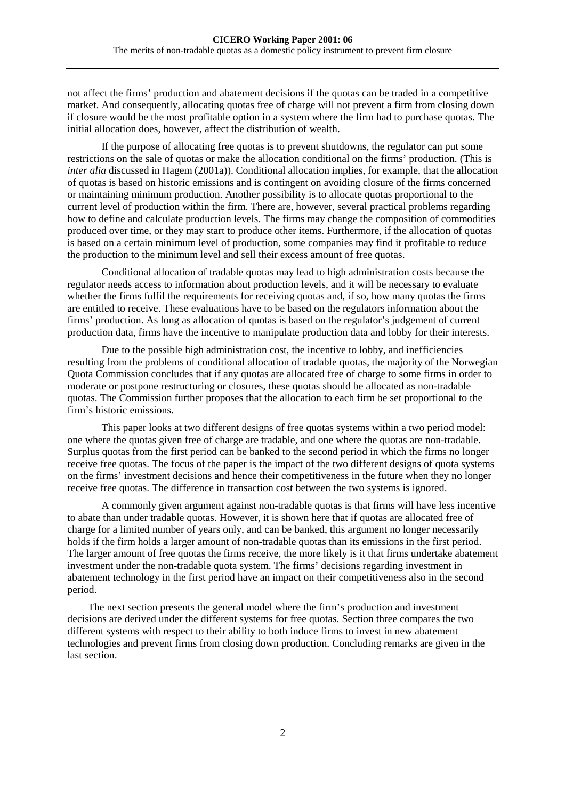not affect the firms' production and abatement decisions if the quotas can be traded in a competitive market. And consequently, allocating quotas free of charge will not prevent a firm from closing down if closure would be the most profitable option in a system where the firm had to purchase quotas. The initial allocation does, however, affect the distribution of wealth.

If the purpose of allocating free quotas is to prevent shutdowns, the regulator can put some restrictions on the sale of quotas or make the allocation conditional on the firms' production. (This is *inter alia* discussed in Hagem (2001a)). Conditional allocation implies, for example, that the allocation of quotas is based on historic emissions and is contingent on avoiding closure of the firms concerned or maintaining minimum production. Another possibility is to allocate quotas proportional to the current level of production within the firm. There are, however, several practical problems regarding how to define and calculate production levels. The firms may change the composition of commodities produced over time, or they may start to produce other items. Furthermore, if the allocation of quotas is based on a certain minimum level of production, some companies may find it profitable to reduce the production to the minimum level and sell their excess amount of free quotas.

Conditional allocation of tradable quotas may lead to high administration costs because the regulator needs access to information about production levels, and it will be necessary to evaluate whether the firms fulfil the requirements for receiving quotas and, if so, how many quotas the firms are entitled to receive. These evaluations have to be based on the regulators information about the firms' production. As long as allocation of quotas is based on the regulator's judgement of current production data, firms have the incentive to manipulate production data and lobby for their interests.

Due to the possible high administration cost, the incentive to lobby, and inefficiencies resulting from the problems of conditional allocation of tradable quotas, the majority of the Norwegian Quota Commission concludes that if any quotas are allocated free of charge to some firms in order to moderate or postpone restructuring or closures, these quotas should be allocated as non-tradable quotas. The Commission further proposes that the allocation to each firm be set proportional to the firm's historic emissions.

This paper looks at two different designs of free quotas systems within a two period model: one where the quotas given free of charge are tradable, and one where the quotas are non-tradable. Surplus quotas from the first period can be banked to the second period in which the firms no longer receive free quotas. The focus of the paper is the impact of the two different designs of quota systems on the firms' investment decisions and hence their competitiveness in the future when they no longer receive free quotas. The difference in transaction cost between the two systems is ignored.

A commonly given argument against non-tradable quotas is that firms will have less incentive to abate than under tradable quotas. However, it is shown here that if quotas are allocated free of charge for a limited number of years only, and can be banked, this argument no longer necessarily holds if the firm holds a larger amount of non-tradable quotas than its emissions in the first period. The larger amount of free quotas the firms receive, the more likely is it that firms undertake abatement investment under the non-tradable quota system. The firms' decisions regarding investment in abatement technology in the first period have an impact on their competitiveness also in the second period.

The next section presents the general model where the firm's production and investment decisions are derived under the different systems for free quotas. Section three compares the two different systems with respect to their ability to both induce firms to invest in new abatement technologies and prevent firms from closing down production. Concluding remarks are given in the last section.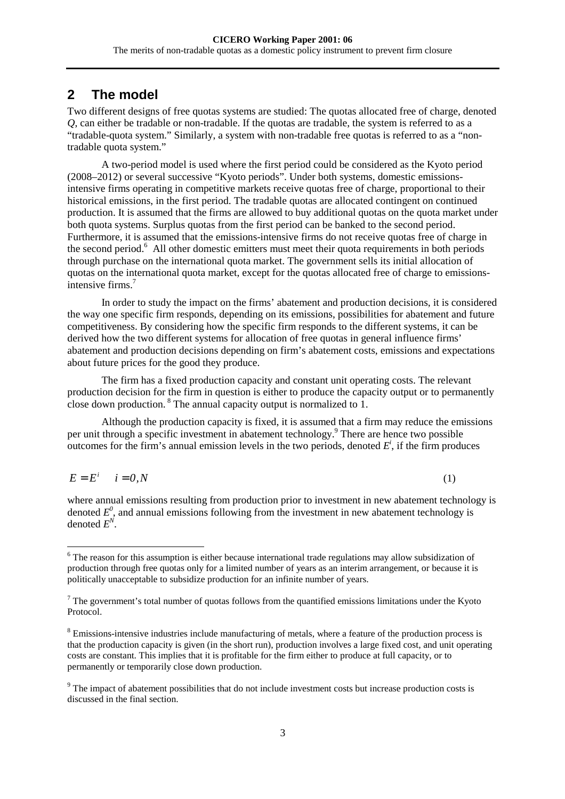# <span id="page-5-0"></span>**2 The model**

l

Two different designs of free quotas systems are studied: The quotas allocated free of charge, denoted *Q*, can either be tradable or non-tradable. If the quotas are tradable, the system is referred to as a "tradable-quota system." Similarly, a system with non-tradable free quotas is referred to as a "nontradable quota system."

A two-period model is used where the first period could be considered as the Kyoto period (2008–2012) or several successive "Kyoto periods". Under both systems, domestic emissionsintensive firms operating in competitive markets receive quotas free of charge, proportional to their historical emissions, in the first period. The tradable quotas are allocated contingent on continued production. It is assumed that the firms are allowed to buy additional quotas on the quota market under both quota systems. Surplus quotas from the first period can be banked to the second period. Furthermore, it is assumed that the emissions-intensive firms do not receive quotas free of charge in the second period.<sup>6</sup> All other domestic emitters must meet their quota requirements in both periods through purchase on the international quota market. The government sells its initial allocation of quotas on the international quota market, except for the quotas allocated free of charge to emissionsintensive firms.<sup>7</sup>

In order to study the impact on the firms' abatement and production decisions, it is considered the way one specific firm responds, depending on its emissions, possibilities for abatement and future competitiveness. By considering how the specific firm responds to the different systems, it can be derived how the two different systems for allocation of free quotas in general influence firms' abatement and production decisions depending on firm's abatement costs, emissions and expectations about future prices for the good they produce.

The firm has a fixed production capacity and constant unit operating costs. The relevant production decision for the firm in question is either to produce the capacity output or to permanently close down production.  $8$  The annual capacity output is normalized to 1.

Although the production capacity is fixed, it is assumed that a firm may reduce the emissions per unit through a specific investment in abatement technology.<sup>9</sup> There are hence two possible outcomes for the firm's annual emission levels in the two periods, denoted  $E^i$ , if the firm produces

$$
E = E^i \qquad i = 0, N \tag{1}
$$

where annual emissions resulting from production prior to investment in new abatement technology is denoted  $E^0$ , and annual emissions following from the investment in new abatement technology is denoted  $E^N$ .

<sup>&</sup>lt;sup>6</sup> The reason for this assumption is either because international trade regulations may allow subsidization of production through free quotas only for a limited number of years as an interim arrangement, or because it is politically unacceptable to subsidize production for an infinite number of years.

 $<sup>7</sup>$  The government's total number of quotas follows from the quantified emissions limitations under the Kyoto</sup> Protocol.

 $8$  Emissions-intensive industries include manufacturing of metals, where a feature of the production process is that the production capacity is given (in the short run), production involves a large fixed cost, and unit operating costs are constant. This implies that it is profitable for the firm either to produce at full capacity, or to permanently or temporarily close down production.

<sup>&</sup>lt;sup>9</sup> The impact of abatement possibilities that do not include investment costs but increase production costs is discussed in the final section.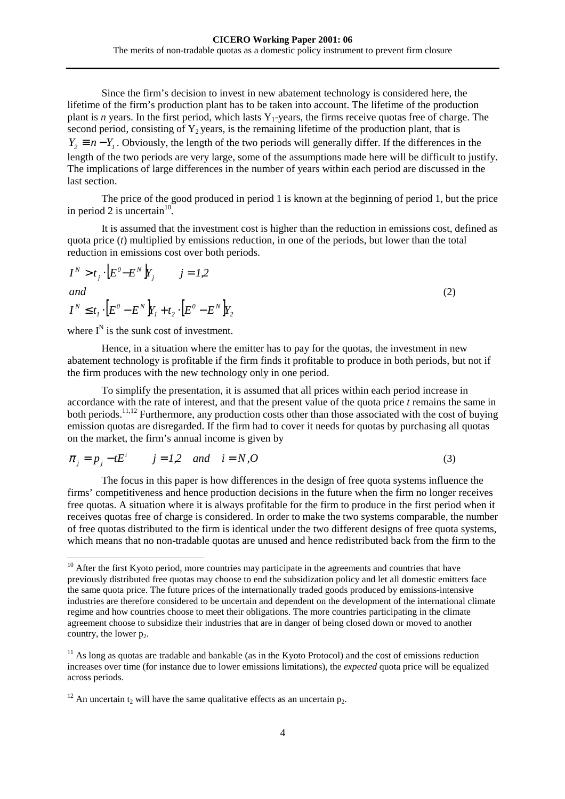<span id="page-6-0"></span>Since the firm's decision to invest in new abatement technology is considered here, the lifetime of the firm's production plant has to be taken into account. The lifetime of the production plant is *n* years. In the first period, which lasts  $Y_1$ -years, the firms receive quotas free of charge. The second period, consisting of  $Y_2$  years, is the remaining lifetime of the production plant, that is  $Y_2 \equiv n - Y_1$ . Obviously, the length of the two periods will generally differ. If the differences in the length of the two periods are very large, some of the assumptions made here will be difficult to justify. The implications of large differences in the number of years within each period are discussed in the last section.

The price of the good produced in period 1 is known at the beginning of period 1, but the price in period 2 is uncertain<sup>10</sup>.

It is assumed that the investment cost is higher than the reduction in emissions cost, defined as quota price (*t*) multiplied by emissions reduction, in one of the periods, but lower than the total reduction in emissions cost over both periods.

$$
I^N > t_j \cdot \left[E^0 - E^N\right]Y_j \qquad j = 1,2
$$
  
and  

$$
I^N \le t_1 \cdot \left[E^0 - E^N\right]Y_1 + t_2 \cdot \left[E^0 - E^N\right]Y_2
$$
 (2)

where  $I^N$  is the sunk cost of investment.

l

Hence, in a situation where the emitter has to pay for the quotas, the investment in new abatement technology is profitable if the firm finds it profitable to produce in both periods, but not if the firm produces with the new technology only in one period.

To simplify the presentation, it is assumed that all prices within each period increase in accordance with the rate of interest, and that the present value of the quota price *t* remains the same in both periods.<sup>11,12</sup> Furthermore, any production costs other than those associated with the cost of buying emission quotas are disregarded. If the firm had to cover it needs for quotas by purchasing all quotas on the market, the firm's annual income is given by

$$
\pi_j = p_j - t E^i \qquad j = 1,2 \quad and \quad i = N, O \tag{3}
$$

The focus in this paper is how differences in the design of free quota systems influence the firms' competitiveness and hence production decisions in the future when the firm no longer receives free quotas. A situation where it is always profitable for the firm to produce in the first period when it receives quotas free of charge is considered. In order to make the two systems comparable, the number of free quotas distributed to the firm is identical under the two different designs of free quota systems, which means that no non-tradable quotas are unused and hence redistributed back from the firm to the

 $10$  After the first Kyoto period, more countries may participate in the agreements and countries that have previously distributed free quotas may choose to end the subsidization policy and let all domestic emitters face the same quota price. The future prices of the internationally traded goods produced by emissions-intensive industries are therefore considered to be uncertain and dependent on the development of the international climate regime and how countries choose to meet their obligations. The more countries participating in the climate agreement choose to subsidize their industries that are in danger of being closed down or moved to another country, the lower  $p_2$ .

 $11$  As long as quotas are tradable and bankable (as in the Kyoto Protocol) and the cost of emissions reduction increases over time (for instance due to lower emissions limitations), the *expected* quota price will be equalized across periods.

<sup>&</sup>lt;sup>12</sup> An uncertain t<sub>2</sub> will have the same qualitative effects as an uncertain  $p_2$ .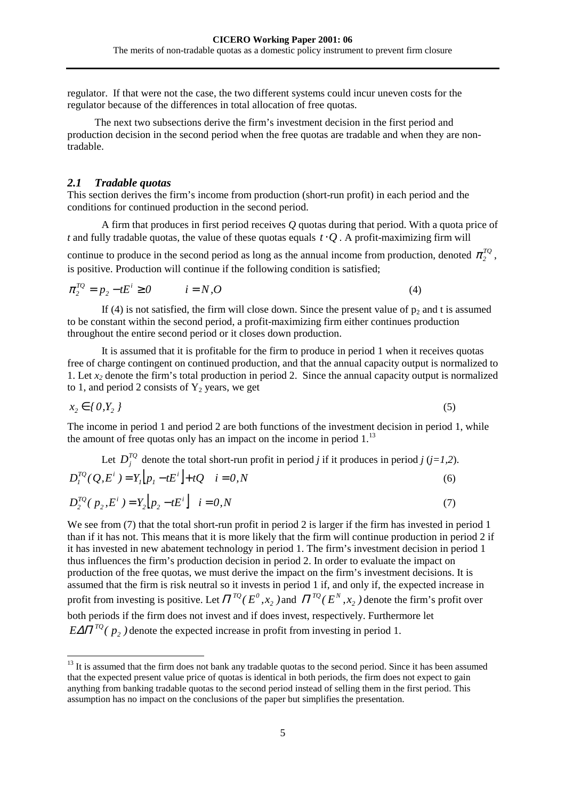<span id="page-7-0"></span>regulator. If that were not the case, the two different systems could incur uneven costs for the regulator because of the differences in total allocation of free quotas.

The next two subsections derive the firm's investment decision in the first period and production decision in the second period when the free quotas are tradable and when they are nontradable.

#### *2.1 Tradable quotas*

l

This section derives the firm's income from production (short-run profit) in each period and the conditions for continued production in the second period.

A firm that produces in first period receives *Q* quotas during that period. With a quota price of *t* and fully tradable quotas, the value of these quotas equals  $t \cdot O$ . A profit-maximizing firm will continue to produce in the second period as long as the annual income from production, denoted  $\pi_2^{TQ}$ , is positive. Production will continue if the following condition is satisfied;

$$
\pi_2^{TQ} = p_2 - tE^i \ge 0 \qquad i = N, O \tag{4}
$$

If (4) is not satisfied, the firm will close down. Since the present value of  $p_2$  and t is assumed to be constant within the second period, a profit-maximizing firm either continues production throughout the entire second period or it closes down production.

It is assumed that it is profitable for the firm to produce in period 1 when it receives quotas free of charge contingent on continued production, and that the annual capacity output is normalized to 1. Let  $x_2$  denote the firm's total production in period 2. Since the annual capacity output is normalized to 1, and period 2 consists of  $Y_2$  years, we get

$$
x_2 \in \{0, Y_2\} \tag{5}
$$

The income in period 1 and period 2 are both functions of the investment decision in period 1, while the amount of free quotas only has an impact on the income in period  $1<sup>13</sup>$ 

Let 
$$
D_j^{TQ}
$$
 denote the total short-run profit in period *j* if it produces in period *j* (*j*=1,2).  
\n
$$
D_j^{TQ}(Q, E^i) = Y_i[p_j - tE^i] + tQ \quad i = 0, N
$$
\n(6)

$$
D_2^{TQ}(p_2, E^i) = Y_2[p_2 - tE^i] \quad i = 0, N
$$
 (7)

We see from (7) that the total short-run profit in period 2 is larger if the firm has invested in period 1 than if it has not. This means that it is more likely that the firm will continue production in period 2 if it has invested in new abatement technology in period 1. The firm's investment decision in period 1 thus influences the firm's production decision in period 2. In order to evaluate the impact on production of the free quotas, we must derive the impact on the firm's investment decisions. It is assumed that the firm is risk neutral so it invests in period 1 if, and only if, the expected increase in profit from investing is positive. Let  $\Pi^{TQ}(E^0, x_2)$  and  $\Pi^{TQ}(E^N, x_2)$  denote the firm's profit over both periods if the firm does not invest and if does invest, respectively. Furthermore let  $E\Delta\Pi^{TQ}(p_2)$  denote the expected increase in profit from investing in period 1.

 $13$  It is assumed that the firm does not bank any tradable quotas to the second period. Since it has been assumed that the expected present value price of quotas is identical in both periods, the firm does not expect to gain anything from banking tradable quotas to the second period instead of selling them in the first period. This assumption has no impact on the conclusions of the paper but simplifies the presentation.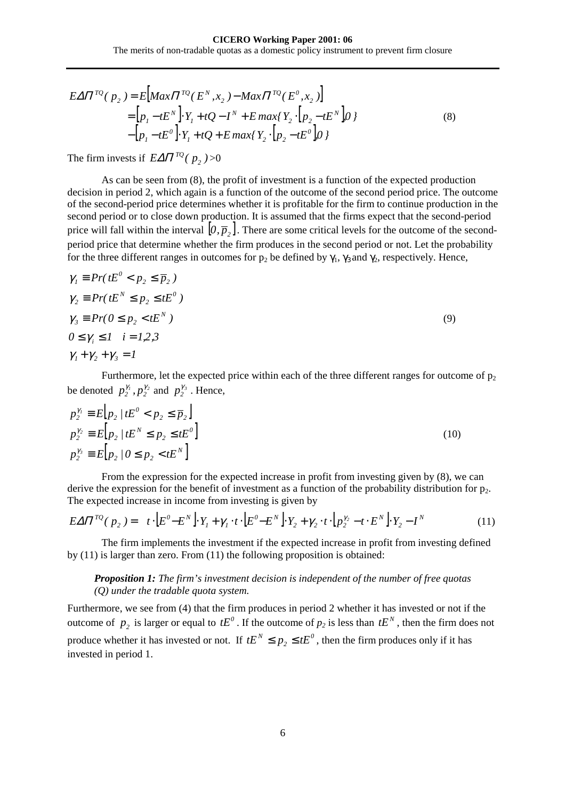<span id="page-8-0"></span>
$$
E\Delta\Pi^{TQ}(p_2) = E\big[Max\Pi^{TQ}(E^N, x_2) - Max\Pi^{TQ}(E^0, x_2)\big] \\
= \big[p_1 - tE^N\big] \cdot Y_1 + tQ - I^N + E\max\{Y_2 \cdot \big[p_2 - tE^N\big]0\} \\
- \big[p_1 - tE^0\big] \cdot Y_1 + tQ + E\max\{Y_2 \cdot \big[p_2 - tE^0\big]0\}\n\tag{8}
$$

The firm invests if  $E\Delta\Pi^{TQ}(p_2)$  >0

As can be seen from (8), the profit of investment is a function of the expected production decision in period 2, which again is a function of the outcome of the second period price. The outcome of the second-period price determines whether it is profitable for the firm to continue production in the second period or to close down production. It is assumed that the firms expect that the second-period price will fall within the interval  $[0, \bar{p}_2]$ . There are some critical levels for the outcome of the secondperiod price that determine whether the firm produces in the second period or not. Let the probability for the three different ranges in outcomes for  $p_2$  be defined by  $\gamma_1$ ,  $\gamma_3$  and  $\gamma_2$ , respectively. Hence,

$$
\gamma_{1} \equiv Pr(tE^{0} < p_{2} \leq \overline{p}_{2})
$$
\n
$$
\gamma_{2} \equiv Pr(tE^{N} \leq p_{2} \leq tE^{0})
$$
\n
$$
\gamma_{3} \equiv Pr(0 \leq p_{2} < tE^{N})
$$
\n
$$
0 \leq \gamma_{i} \leq 1 \quad i = 1, 2, 3
$$
\n
$$
\gamma_{1} + \gamma_{2} + \gamma_{3} = 1
$$
\n(9)

Furthermore, let the expected price within each of the three different ranges for outcome of  $p_2$ be denoted  $p_2^{\gamma_1}, p_2^{\gamma_2}$  and  $p_2^{\gamma_3}$ . Hence,

$$
p_2^{\gamma_1} \equiv E[p_2 / tE^0 < p_2 \le \overline{p}_2] \np_2^{\gamma_2} \equiv E[p_2 / tE^N \le p_2 \le tE^0] \np_2^{\gamma_3} \equiv E[p_2 / 0 \le p_2 < tE^N]
$$
\n(10)

From the expression for the expected increase in profit from investing given by (8), we can derive the expression for the benefit of investment as a function of the probability distribution for  $p_2$ . The expected increase in income from investing is given by

$$
E\Delta\Pi^{TQ}(p_2) = t \cdot [E^0 - E^N] \cdot Y_1 + \gamma_1 \cdot t \cdot [E^0 - E^N] \cdot Y_2 + \gamma_2 \cdot t \cdot [p_2^{\gamma_2} - t \cdot E^N] \cdot Y_2 - I^N \tag{11}
$$

The firm implements the investment if the expected increase in profit from investing defined by (11) is larger than zero. From (11) the following proposition is obtained:

#### *Proposition 1: The firm's investment decision is independent of the number of free quotas (Q) under the tradable quota system.*

Furthermore, we see from [\(4\)](#page-7-0) that the firm produces in period 2 whether it has invested or not if the outcome of  $p_2$  is larger or equal to  $tE^0$ . If the outcome of  $p_2$  is less than  $tE^N$ , then the firm does not produce whether it has invested or not. If  $tE^N \le p_2 \le tE^0$ , then the firm produces only if it has invested in period 1.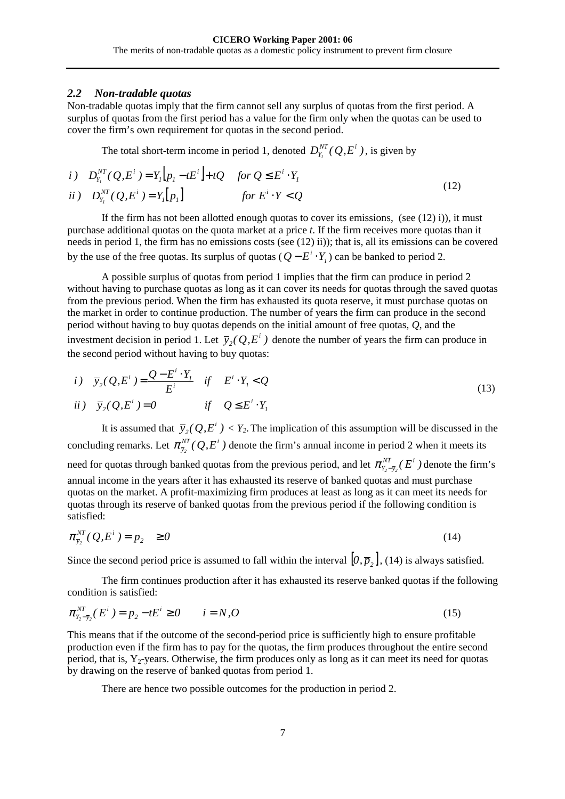#### <span id="page-9-0"></span>*2.2 Non-tradable quotas*

Non-tradable quotas imply that the firm cannot sell any surplus of quotas from the first period. A surplus of quotas from the first period has a value for the firm only when the quotas can be used to cover the firm's own requirement for quotas in the second period.

The total short-term income in period 1, denoted  $D_{Y_I}^{NT}(Q, E^i)$ , is given by

*i*) 
$$
D_{Y_i}^{NT}(Q, E^i) = Y_i[p_i - tE^i] + tQ
$$
 for  $Q \le E^i \cdot Y_i$   
\n*ii*)  $D_{Y_i}^{NT}(Q, E^i) = Y_i[p_i]$  for  $E^i \cdot Y < Q$  (12)

If the firm has not been allotted enough quotas to cover its emissions, (see  $(12)$  i)), it must purchase additional quotas on the quota market at a price *t*. If the firm receives more quotas than it needs in period 1, the firm has no emissions costs (see (12) ii)); that is, all its emissions can be covered by the use of the free quotas. Its surplus of quotas ( $Q - E^i \cdot Y_i$ ) can be banked to period 2.

A possible surplus of quotas from period 1 implies that the firm can produce in period 2 without having to purchase quotas as long as it can cover its needs for quotas through the saved quotas from the previous period. When the firm has exhausted its quota reserve, it must purchase quotas on the market in order to continue production. The number of years the firm can produce in the second period without having to buy quotas depends on the initial amount of free quotas, *Q*, and the investment decision in period 1. Let  $\bar{y}_2(Q, E^i)$  denote the number of years the firm can produce in the second period without having to buy quotas:

$$
\begin{aligned}\ni) \quad \overline{y}_2(Q, E^i) &= \frac{Q - E^i \cdot Y_I}{E^i} \quad \text{if} \quad E^i \cdot Y_I < Q \\
ii) \quad \overline{y}_2(Q, E^i) &= 0 \quad \text{if} \quad Q \leq E^i \cdot Y_I\n\end{aligned} \tag{13}
$$

It is assumed that  $\bar{y}_2(Q,E^i) < Y_2$ . The implication of this assumption will be discussed in the concluding remarks. Let  $\pi_{\bar{y}_2}^{NT}(Q, E^i)$  denote the firm's annual income in period 2 when it meets its need for quotas through banked quotas from the previous period, and let  $\pi_{Y_2-\bar{y}_2}^{NT}(E^i)$  denote the firm's annual income in the years after it has exhausted its reserve of banked quotas and must purchase quotas on the market. A profit-maximizing firm produces at least as long as it can meet its needs for quotas through its reserve of banked quotas from the previous period if the following condition is satisfied:

$$
\pi_{\bar{y}_2}^{NT}(\mathcal{Q}, E^i) = p_2 \ge 0 \tag{14}
$$

Since the second period price is assumed to fall within the interval  $[0, \overline{p}_2]$ , (14) is always satisfied.

The firm continues production after it has exhausted its reserve banked quotas if the following condition is satisfied:

$$
\pi_{Y_2 - \bar{Y}_2}^{NT}(E^i) = p_2 - tE^i \ge 0 \qquad i = N, O \tag{15}
$$

This means that if the outcome of the second-period price is sufficiently high to ensure profitable production even if the firm has to pay for the quotas, the firm produces throughout the entire second period, that is,  $Y_2$ -years. Otherwise, the firm produces only as long as it can meet its need for quotas by drawing on the reserve of banked quotas from period 1.

There are hence two possible outcomes for the production in period 2.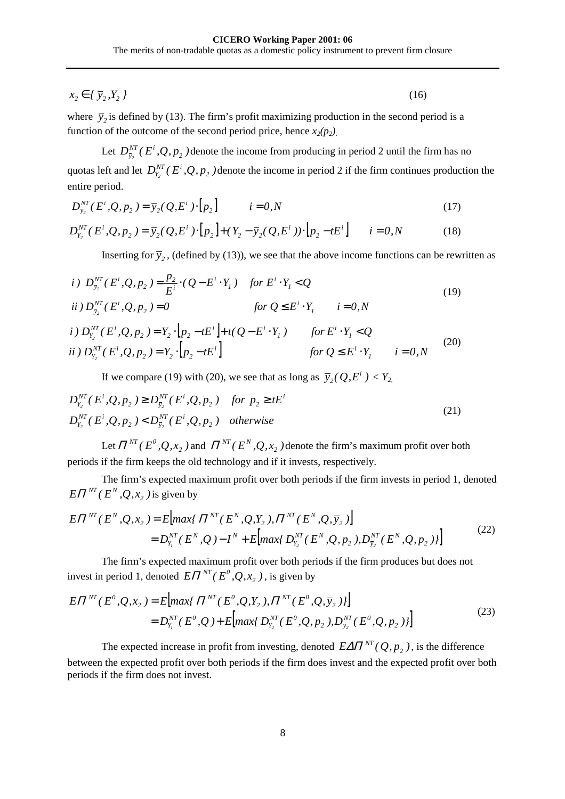<span id="page-10-0"></span> $x_2 \in \{ \bar{y}_2, Y_2 \}$  (16)

where  $\bar{y}_2$  is defined by [\(13\).](#page-9-0) The firm's profit maximizing production in the second period is a function of the outcome of the second period price, hence  $x_2(p_2)$ .

Let  $D_{\bar{y}_2}^{NT}(E^i, Q, p_2)$  denote the income from producing in period 2 until the firm has no quotas left and let  $D_{Y_2}^{NT}(E^i, Q, p_2)$  denote the income in period 2 if the firm continues production the entire period.

$$
D_{\bar{y}_2}^{NT}(E^i, Q, p_2) = \bar{y}_2(Q, E^i) \cdot [p_2] \qquad i = 0, N \qquad (17)
$$

$$
D_{Y_2}^{NT}(E^i, Q, p_2) = \overline{y}_2(Q, E^i) \cdot [p_2] + (Y_2 - \overline{y}_2(Q, E^i)) \cdot [p_2 - tE^i] \qquad i = 0, N \tag{18}
$$

Inserting for  $\bar{y}_2$ , (defined by [\(13\)\)](#page-9-0), we see that the above income functions can be rewritten as

*i)* 
$$
D_{\bar{y}_2}^{NT}(E^i, Q, p_2) = \frac{p_2}{E^i} \cdot (Q - E^i \cdot Y_1)
$$
 for  $E^i \cdot Y_1 < Q$   
\n*ii)*  $D_{\bar{y}_2}^{NT}(E^i, Q, p_2) = 0$  for  $Q \le E^i \cdot Y_1$  *i* = 0, N (19)

$$
i) D_{Y_2}^{NT}(E^i, Q, p_2) = Y_2 \cdot [p_2 - tE^i] + t(Q - E^i \cdot Y_1) \qquad \text{for } E^i \cdot Y_1 < Q
$$
\n
$$
ii) D_{Y_2}^{NT}(E^i, Q, p_2) = Y_2 \cdot [p_2 - tE^i] \qquad \text{for } Q \le E^i \cdot Y_1 \qquad i = 0, N \tag{20}
$$

If we compare (19) with (20), we see that as long as  $\bar{y}_2(Q, E^i) < Y_{2,1}$ 

$$
D_{Y_2}^{NT}(E^i, Q, p_2) \ge D_{\bar{y}_2}^{NT}(E^i, Q, p_2) \quad \text{for } p_2 \ge tE^i
$$
  
\n
$$
D_{Y_2}^{NT}(E^i, Q, p_2) < D_{\bar{y}_2}^{NT}(E^i, Q, p_2) \quad \text{otherwise}
$$
\n
$$
(21)
$$

Let  $\Pi^{NT}(E^0, Q, x_2)$  and  $\Pi^{NT}(E^N, Q, x_2)$  denote the firm's maximum profit over both periods if the firm keeps the old technology and if it invests, respectively.

The firm's expected maximum profit over both periods if the firm invests in period 1, denoted  $E\Pi^{NT}(E^N,Q,x_2)$  *is given by* 

$$
E\Pi^{NT}(E^N,Q,x_2) = E\Big[ max\{ \Pi^{NT}(E^N,Q,Y_2), \Pi^{NT}(E^N,Q,\overline{y}_2) \Big] = D_{Y_1}^{NT}(E^N,Q) - I^N + E\Big[ max\{ D_{Y_2}^{NT}(E^N,Q,p_2), D_{\overline{y}_2}^{NT}(E^N,Q,p_2) \} \Big]
$$
(22)

The firm's expected maximum profit over both periods if the firm produces but does not invest in period 1, denoted  $E\Pi^{NT}(E^0, Q, x_2)$ , is given by

$$
E\Pi^{NT}(E^0, Q, x_2) = E\Big[ max\{ \Pi^{NT}(E^0, Q, Y_2), \Pi^{NT}(E^0, Q, \overline{y}_2) \} \Big]
$$
  
=  $D_{Y_1}^{NT}(E^0, Q) + E\Big[ max\{ D_{Y_2}^{NT}(E^0, Q, p_2), D_{\overline{y}_2}^{NT}(E^0, Q, p_2) \} \Big]$  (23)

The expected increase in profit from investing, denoted  $E\Delta \Pi^{NT}(Q, p_2)$ , is the difference between the expected profit over both periods if the firm does invest and the expected profit over both periods if the firm does not invest.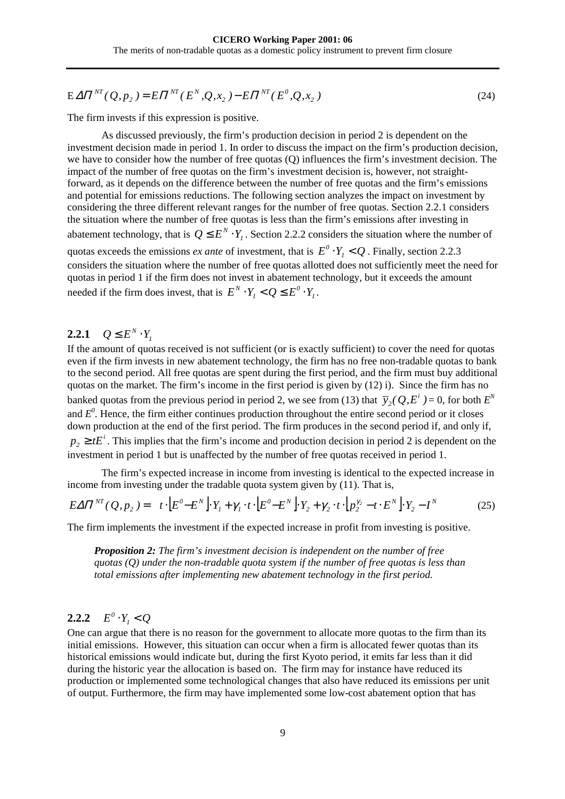<span id="page-11-0"></span>
$$
E\,\Delta\Pi^{NT}(\mathcal{Q},p_2) = E\Pi^{NT}(E^N,\mathcal{Q},x_2) - E\Pi^{NT}(E^0,\mathcal{Q},x_2)
$$
\n(24)

The firm invests if this expression is positive.

As discussed previously, the firm's production decision in period 2 is dependent on the investment decision made in period 1. In order to discuss the impact on the firm's production decision, we have to consider how the number of free quotas (Q) influences the firm's investment decision. The impact of the number of free quotas on the firm's investment decision is, however, not straightforward, as it depends on the difference between the number of free quotas and the firm's emissions and potential for emissions reductions. The following section analyzes the impact on investment by considering the three different relevant ranges for the number of free quotas. Section 2.2.1 considers the situation where the number of free quotas is less than the firm's emissions after investing in abatement technology, that is  $Q \leq E^N \cdot Y_l$ . Section 2.2.2 considers the situation where the number of quotas exceeds the emissions *ex ante* of investment, that is  $E^0 \cdot Y_1 < Q$ . Finally, section [2.2.3](#page-13-0) considers the situation where the number of free quotas allotted does not sufficiently meet the need for quotas in period 1 if the firm does not invest in abatement technology, but it exceeds the amount needed if the firm does invest, that is  $E^N \cdot Y_i < Q \leq E^0 \cdot Y_i$  $E^N \cdot Y_i < Q \leq E^0 \cdot Y_i$ .

# **2.2.1**  $Q \leq E^N \cdot Y_1$

If the amount of quotas received is not sufficient (or is exactly sufficient) to cover the need for quotas even if the firm invests in new abatement technology, the firm has no free non-tradable quotas to bank to the second period. All free quotas are spent during the first period, and the firm must buy additional quotas on the market. The firm's income in the first period is given by [\(12\)](#page-9-0) i). Since the firm has no banked quotas from the previous period in period 2, we see from [\(13\)](#page-9-0) that  $\bar{y}_2(Q, E^i) = 0$ , for both  $E^N$ and  $E^0$ . Hence, the firm either continues production throughout the entire second period or it closes down production at the end of the first period. The firm produces in the second period if, and only if,  $p_2 \ge tE^i$ . This implies that the firm's income and production decision in period 2 is dependent on the investment in period 1 but is unaffected by the number of free quotas received in period 1.

The firm's expected increase in income from investing is identical to the expected increase in income from investing under the tradable quota system given by [\(11\).](#page-8-0) That is,

$$
E\Delta\Pi^{NT}(Q, p_2) = t \cdot \left[E^0 - E^N\right] \cdot Y_1 + \gamma_1 \cdot t \cdot \left[E^0 - E^N\right] \cdot Y_2 + \gamma_2 \cdot t \cdot \left[p_2^{\gamma_2} - t \cdot E^N\right] \cdot Y_2 - I^N \tag{25}
$$

The firm implements the investment if the expected increase in profit from investing is positive.

*Proposition 2: The firm's investment decision is independent on the number of free quotas (Q) under the non-tradable quota system if the number of free quotas is less than total emissions after implementing new abatement technology in the first period.* 

#### **2.2.2**  $E^{0} \cdot Y_{i} < Q$

One can argue that there is no reason for the government to allocate more quotas to the firm than its initial emissions. However, this situation can occur when a firm is allocated fewer quotas than its historical emissions would indicate but, during the first Kyoto period, it emits far less than it did during the historic year the allocation is based on. The firm may for instance have reduced its production or implemented some technological changes that also have reduced its emissions per unit of output. Furthermore, the firm may have implemented some low-cost abatement option that has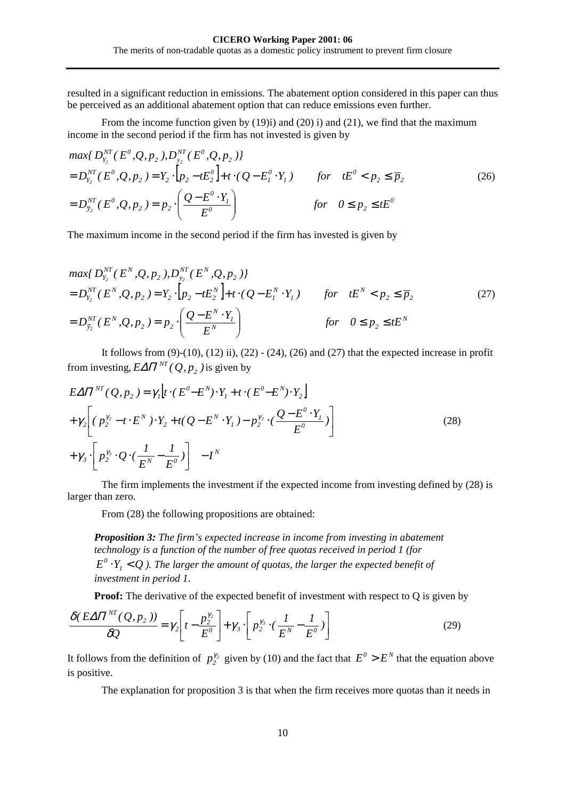<span id="page-12-0"></span>resulted in a significant reduction in emissions. The abatement option considered in this paper can thus be perceived as an additional abatement option that can reduce emissions even further.

From the income function given by [\(19\)i](#page-10-0)) and [\(20\)](#page-10-0) i) and [\(21\),](#page-10-0) we find that the maximum income in the second period if the firm has not invested is given by

$$
\max\{D_{Y_2}^{NT}(E^0, Q, p_2), D_{Y_2}^{NT}(E^0, Q, p_2)\}\
$$
  
=  $D_{Y_2}^{NT}(E^0, Q, p_2) = Y_2 \cdot [p_2 - tE_2^0] + t \cdot (Q - E_1^0 \cdot Y_1)$  for  $tE^0 < p_2 \le \overline{p}_2$   
=  $D_{\overline{y}_2}^{NT}(E^0, Q, p_2) = p_2 \cdot \left(\frac{Q - E^0 \cdot Y_1}{E^0}\right)$  for  $0 \le p_2 \le tE^0$  (26)

The maximum income in the second period if the firm has invested is given by

$$
\max\{D_{Y_2}^{NT}(E^N,Q,p_2),D_{Y_2}^{NT}(E^N,Q,p_2)\}\
$$
  
=  $D_{Y_2}^{NT}(E^N,Q,p_2) = Y_2 \cdot [p_2 - tE_2^N] + t \cdot (Q - E_1^N \cdot Y_1)$  for  $tE^N < p_2 \le \overline{p}_2$  (27)  
=  $D_{\overline{y}_2}^{NT}(E^N,Q,p_2) = p_2 \cdot \left(\frac{Q - E^N \cdot Y_1}{E^N}\right)$  for  $0 \le p_2 \le tE^N$ 

It follows from  $(9)-(10)$ ,  $(12)$  ii),  $(22)-(24)$ ,  $(26)$  and  $(27)$  that the expected increase in profit from investing,  $E\Delta \Pi^{NT}$  ( Q,  $p_2$  ) is given by

$$
E\Delta\Pi^{NT}(Q, p_2) = \gamma_I \Big[ t \cdot (E^0 - E^N) \cdot Y_1 + t \cdot (E^0 - E^N) \cdot Y_2 \Big] + \gamma_2 \Big[ (p_2^{\gamma_2} - t \cdot E^N) \cdot Y_2 + t(Q - E^N \cdot Y_1) - p_2^{\gamma_2} \cdot (\frac{Q - E^0 \cdot Y_1}{E^0}) + \gamma_3 \cdot \Big[ p_2^{\gamma_3} \cdot Q \cdot (\frac{1}{E^N} - \frac{1}{E^0}) \Big] - I^N
$$
\n(28)

The firm implements the investment if the expected income from investing defined by (28) is larger than zero.

From (28) the following propositions are obtained:

*Proposition 3: The firm's expected increase in income from investing in abatement technology is a function of the number of free quotas received in period 1 (for*   $E^0 \cdot Y_i < Q$ ). The larger the amount of quotas, the larger the expected benefit of *investment in period 1.* 

**Proof:** The derivative of the expected benefit of investment with respect to Q is given by

$$
\frac{\delta(E\Delta\Pi^{NT}(\mathcal{Q}, p_2))}{\delta\mathcal{Q}} = \gamma_2 \left[ t - \frac{p_2^{\gamma_2}}{E^0} \right] + \gamma_3 \cdot \left[ p_2^{\gamma_3} \cdot \left( \frac{I}{E^N} - \frac{I}{E^0} \right) \right]
$$
(29)

It follows from the definition of  $p_2^{\gamma_2}$  given by [\(10\)](#page-8-0) and the fact that  $E^0 > E^N$  that the equation above is positive.

The explanation for proposition 3 is that when the firm receives more quotas than it needs in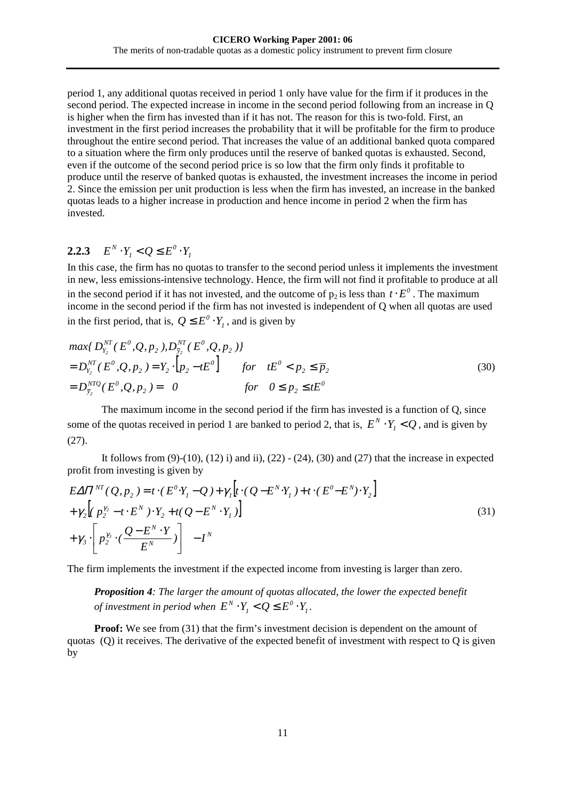<span id="page-13-0"></span>period 1, any additional quotas received in period 1 only have value for the firm if it produces in the second period. The expected increase in income in the second period following from an increase in Q is higher when the firm has invested than if it has not. The reason for this is two-fold. First, an investment in the first period increases the probability that it will be profitable for the firm to produce throughout the entire second period. That increases the value of an additional banked quota compared to a situation where the firm only produces until the reserve of banked quotas is exhausted. Second, even if the outcome of the second period price is so low that the firm only finds it profitable to produce until the reserve of banked quotas is exhausted, the investment increases the income in period 2. Since the emission per unit production is less when the firm has invested, an increase in the banked quotas leads to a higher increase in production and hence income in period 2 when the firm has invested.

#### **2.2.3**  $E^N \cdot Y_i < Q \leq E^0 \cdot Y_i$  $E^N \cdot Y_i < Q \leq E^0 \cdot Y$

In this case, the firm has no quotas to transfer to the second period unless it implements the investment in new, less emissions-intensive technology. Hence, the firm will not find it profitable to produce at all in the second period if it has not invested, and the outcome of  $p_2$  is less than  $t \cdot E^0$ . The maximum income in the second period if the firm has not invested is independent of Q when all quotas are used in the first period, that is,  $Q \leq E^0 \cdot Y_1$ , and is given by

$$
\max\{D_{Y_2}^{NT}(E^0, Q, p_2), D_{\bar{y}_2}^{NT}(E^0, Q, p_2)\}\
$$
  
=  $D_{Y_2}^{NT}(E^0, Q, p_2) = Y_2 \cdot [p_2 - tE^0]$  for  $tE^0 < p_2 \le \bar{p}_2$   
=  $D_{\bar{y}_2}^{NTQ}(E^0, Q, p_2) = 0$  for  $0 \le p_2 \le tE^0$  (30)

The maximum income in the second period if the firm has invested is a function of Q, since some of the quotas received in period 1 are banked to period 2, that is,  $E^N \cdot Y_i < Q$ , and is given by [\(27\).](#page-12-0)

It follows from  $(9)-(10)$ ,  $(12)$  i) and ii),  $(22)-(24)$ ,  $(30)$  and  $(27)$  that the increase in expected profit from investing is given by

$$
E\Delta\Pi^{NT}(\mathcal{Q}, p_2) = t \cdot (E^0 \cdot Y_1 - \mathcal{Q}) + \gamma_1[t \cdot (\mathcal{Q} - E^N \cdot Y_1) + t \cdot (E^0 - E^N) \cdot Y_2] + \gamma_2 [p_2^{y_2} - t \cdot E^N) \cdot Y_2 + t(\mathcal{Q} - E^N \cdot Y_1)] + \gamma_3 \cdot [p_2^{y_3} \cdot (\frac{\mathcal{Q} - E^N \cdot Y}{E^N})] - I^N
$$
\n(31)

The firm implements the investment if the expected income from investing is larger than zero.

*Proposition 4: The larger the amount of quotas allocated, the lower the expected benefit of investment in period when*  $E^N\cdot Y_i < Q \leq E^0\cdot Y_i$  $E^N \cdot Y_i < Q \leq E^0 \cdot Y_i$ .

**Proof:** We see from (31) that the firm's investment decision is dependent on the amount of quotas (Q) it receives. The derivative of the expected benefit of investment with respect to Q is given by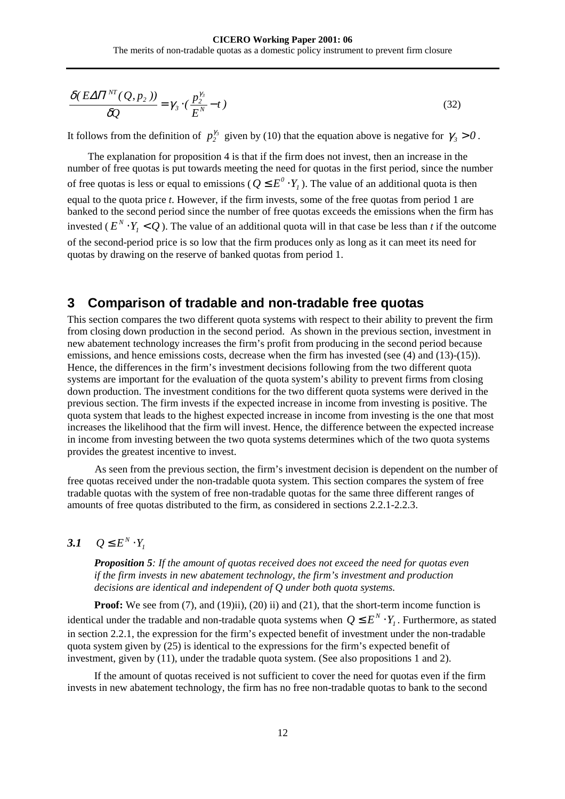<span id="page-14-0"></span>
$$
\frac{\delta(E\Delta\Pi^{NT}(\mathcal{Q}, p_2))}{\delta\mathcal{Q}} = \gamma_3 \cdot (\frac{p_2^{\gamma_3}}{E^N} - t)
$$
\n(32)

It follows from the definition of  $p_2^{y_3}$  given by [\(10\)](#page-8-0) that the equation above is negative for  $\gamma_3 > 0$ .

The explanation for proposition 4 is that if the firm does not invest, then an increase in the number of free quotas is put towards meeting the need for quotas in the first period, since the number of free quotas is less or equal to emissions ( $Q \leq E^0 \cdot Y_1$ ). The value of an additional quota is then equal to the quota price *t*. However, if the firm invests, some of the free quotas from period 1 are banked to the second period since the number of free quotas exceeds the emissions when the firm has invested ( $E^N \cdot Y_i < Q$ ). The value of an additional quota will in that case be less than *t* if the outcome of the second-period price is so low that the firm produces only as long as it can meet its need for quotas by drawing on the reserve of banked quotas from period 1.

### **3 Comparison of tradable and non-tradable free quotas**

This section compares the two different quota systems with respect to their ability to prevent the firm from closing down production in the second period. As shown in the previous section, investment in new abatement technology increases the firm's profit from producing in the second period because emissions, and hence emissions costs, decrease when the firm has invested (see [\(4\)](#page-7-0) and [\(13\)-\(15\)\)](#page-9-0). Hence, the differences in the firm's investment decisions following from the two different quota systems are important for the evaluation of the quota system's ability to prevent firms from closing down production. The investment conditions for the two different quota systems were derived in the previous section. The firm invests if the expected increase in income from investing is positive. The quota system that leads to the highest expected increase in income from investing is the one that most increases the likelihood that the firm will invest. Hence, the difference between the expected increase in income from investing between the two quota systems determines which of the two quota systems provides the greatest incentive to invest.

As seen from the previous section, the firm's investment decision is dependent on the number of free quotas received under the non-tradable quota system. This section compares the system of free tradable quotas with the system of free non-tradable quotas for the same three different ranges of amounts of free quotas distributed to the firm, as considered in sections [2.2.1](#page-11-0)[-2.2.3](#page-13-0).

# 3.1  $Q \leq E^N \cdot Y_l$

*Proposition 5: If the amount of quotas received does not exceed the need for quotas even if the firm invests in new abatement technology, the firm's investment and production decisions are identical and independent of Q under both quota systems.* 

**Proof:** We see from [\(7\),](#page-7-0) and [\(19\)i](#page-10-0)i), [\(20\)](#page-10-0) ii) and [\(21\),](#page-10-0) that the short-term income function is identical under the tradable and non-tradable quota systems when  $Q \leq E^N \cdot Y_i$  . Furthermore, as stated in section [2.2.1,](#page-11-0) the expression for the firm's expected benefit of investment under the non-tradable quota system given by [\(25\)](#page-11-0) is identical to the expressions for the firm's expected benefit of investment, given by [\(11\),](#page-8-0) under the tradable quota system. (See also propositions 1 and 2).

If the amount of quotas received is not sufficient to cover the need for quotas even if the firm invests in new abatement technology, the firm has no free non-tradable quotas to bank to the second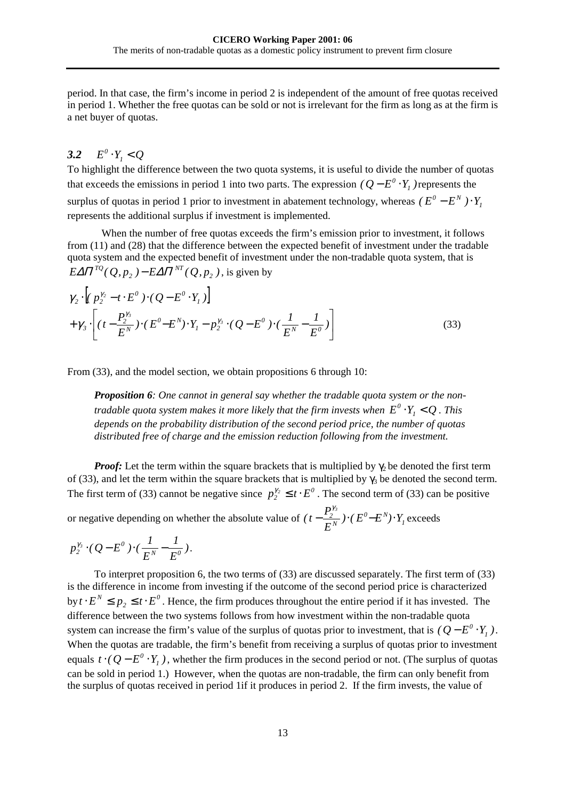<span id="page-15-0"></span>period. In that case, the firm's income in period 2 is independent of the amount of free quotas received in period 1. Whether the free quotas can be sold or not is irrelevant for the firm as long as at the firm is a net buyer of quotas.

#### *3.2*  $E^0 \cdot Y_i < Q$

To highlight the difference between the two quota systems, it is useful to divide the number of quotas that exceeds the emissions in period 1 into two parts. The expression  $(Q - E^0 \cdot Y_I)$  represents the surplus of quotas in period 1 prior to investment in abatement technology, whereas  $(E^0 - E^N) \cdot Y_I$ represents the additional surplus if investment is implemented.

When the number of free quotas exceeds the firm's emission prior to investment, it follows from [\(11\)](#page-8-0) and [\(28\)](#page-12-0) that the difference between the expected benefit of investment under the tradable quota system and the expected benefit of investment under the non-tradable quota system, that is  $E\Delta \Pi^{TQ}(\mathcal{Q}, p_{_2})$   $E\Delta \Pi^{NT}(\mathcal{Q}, p_{_2})$  $\Delta \Pi^{TQ} (Q, p_2) - E \Delta \Pi^{NT} (Q, p_2)$ , is given by

$$
\gamma_2 \cdot \left[ (p_2^{\gamma_2} - t \cdot E^0) \cdot (Q - E^0 \cdot Y_1) \right] + \gamma_3 \cdot \left[ (t - \frac{P_2^{\gamma_3}}{E^N}) \cdot (E^0 - E^N) \cdot Y_1 - p_2^{\gamma_3} \cdot (Q - E^0) \cdot (\frac{1}{E^N} - \frac{1}{E^0}) \right]
$$
(33)

From (33), and the model section, we obtain propositions 6 through 10:

*Proposition 6: One cannot in general say whether the tradable quota system or the nontradable quota system makes it more likely that the firm invests when*  $E^0 \cdot Y_i < Q$ . This *depends on the probability distribution of the second period price, the number of quotas distributed free of charge and the emission reduction following from the investment.* 

*Proof:* Let the term within the square brackets that is multiplied by  $\gamma_2$  be denoted the first term of (33), and let the term within the square brackets that is multiplied by  $\gamma_3$  be denoted the second term. The first term of (33) cannot be negative since  $p_2^{\gamma_2} \le t \cdot E^0$ . The second term of (33) can be positive

or negative depending on whether the absolute value of  $(t - \frac{F_2}{F_N}) \cdot (E^0 - E^N) \cdot Y_1$  $\frac{2}{r^N}$  )  $\cdot$  (  $E^0$  –  $E^N$ )  $\cdot$   $Y$ *E*  $(t-\frac{P_2^{y_3}}{P_3^{y}})\cdot(E^0-E^N)\cdot Y_t$  exceeds

$$
p_2^{\gamma_3} \cdot (Q - E^0) \cdot (\frac{1}{E^N} - \frac{1}{E^0}).
$$

To interpret proposition 6, the two terms of (33) are discussed separately. The first term of (33) is the difference in income from investing if the outcome of the second period price is characterized  $\text{by } t \cdot E^N \leq p_2 \leq t \cdot E^0$ . Hence, the firm produces throughout the entire period if it has invested. The difference between the two systems follows from how investment within the non-tradable quota system can increase the firm's value of the surplus of quotas prior to investment, that is  $(Q - E^0 \cdot Y_1)$ . When the quotas are tradable, the firm's benefit from receiving a surplus of quotas prior to investment equals  $t \cdot (Q - E^0 \cdot Y_1)$ , whether the firm produces in the second period or not. (The surplus of quotas can be sold in period 1.) However, when the quotas are non-tradable, the firm can only benefit from the surplus of quotas received in period 1if it produces in period 2. If the firm invests, the value of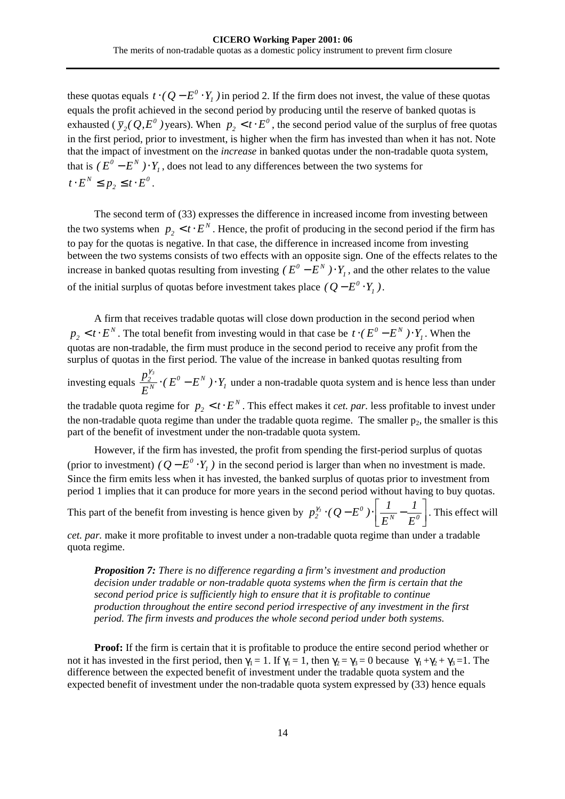these quotas equals  $t \cdot (Q - E^0 \cdot Y_1)$  in period 2. If the firm does not invest, the value of these quotas equals the profit achieved in the second period by producing until the reserve of banked quotas is exhausted ( $\bar{y}_2$ ( $Q$ , $E^0$ ) years). When  $p_2 < t \cdot E^0$ , the second period value of the surplus of free quotas in the first period, prior to investment, is higher when the firm has invested than when it has not. Note that the impact of investment on the *increase* in banked quotas under the non-tradable quota system, that is  $(E^0 - E^N) \cdot Y_1$ , does not lead to any differences between the two systems for *0*  $t \cdot E^N \leq p_2 \leq t \cdot E^0$ .

The second term of [\(33\)](#page-15-0) expresses the difference in increased income from investing between the two systems when  $p_2 < t \cdot E^N$ . Hence, the profit of producing in the second period if the firm has to pay for the quotas is negative. In that case, the difference in increased income from investing between the two systems consists of two effects with an opposite sign. One of the effects relates to the increase in banked quotas resulting from investing  $(E^{0} - E^{N}) \cdot Y_{I}$ , and the other relates to the value of the initial surplus of quotas before investment takes place  $(Q - E^0 \cdot Y_1)$ .

A firm that receives tradable quotas will close down production in the second period when  $p_2 < t \cdot E^N$ . The total benefit from investing would in that case be  $t \cdot (E^0 - E^N) \cdot Y_1$ . When the quotas are non-tradable, the firm must produce in the second period to receive any profit from the surplus of quotas in the first period. The value of the increase in banked quotas resulting from investing equals  $\frac{p_2}{F^N} \cdot (E^0 - E^N) \cdot Y_1$  $\frac{2}{N}\cdot$  *(*  $E^{0}-E^{N}$  *)*  $\cdot$   $Y$ *E*  $p_{\overline{\lambda}}^{y_3}$  · ( $E^0 - E^N$ ) ·  $Y_i$  under a non-tradable quota system and is hence less than under the tradable quota regime for  $p_2 < t \cdot E^N$ . This effect makes it *cet. par.* less profitable to invest under the non-tradable quota regime than under the tradable quota regime. The smaller  $p_2$ , the smaller is this part of the benefit of investment under the non-tradable quota system.

However, if the firm has invested, the profit from spending the first-period surplus of quotas (prior to investment)  $(Q - E^0 \cdot Y_I)$  in the second period is larger than when no investment is made. Since the firm emits less when it has invested, the banked surplus of quotas prior to investment from period 1 implies that it can produce for more years in the second period without having to buy quotas.

This part of the benefit from investing is hence given by  $p_2^{\gamma_3} \cdot (Q - E^0) \cdot \left[ \frac{1}{E^N} - \frac{1}{E^0} \right]$  $2^{\sim}$  (2  $E$  )  $E$ <sup>N</sup>  $E$ *1 E*  $p_2^{\gamma_3} \cdot (Q - E^0) \cdot \left[ \frac{1}{-\gamma} - \frac{1}{\gamma} \right]$ . This effect will

*cet. par.* make it more profitable to invest under a non-tradable quota regime than under a tradable quota regime.

*Proposition 7: There is no difference regarding a firm's investment and production decision under tradable or non-tradable quota systems when the firm is certain that the second period price is sufficiently high to ensure that it is profitable to continue production throughout the entire second period irrespective of any investment in the first period. The firm invests and produces the whole second period under both systems.* 

**Proof:** If the firm is certain that it is profitable to produce the entire second period whether or not it has invested in the first period, then  $\gamma_1 = 1$ . If  $\gamma_1 = 1$ , then  $\gamma_2 = \gamma_3 = 0$  because  $\gamma_1 + \gamma_2 + \gamma_3 = 1$ . The difference between the expected benefit of investment under the tradable quota system and the expected benefit of investment under the non-tradable quota system expressed by [\(33\)](#page-15-0) hence equals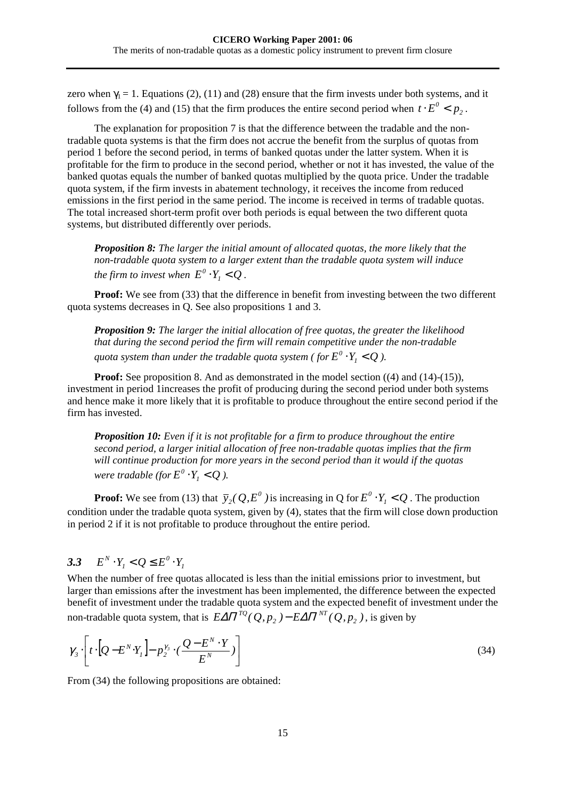<span id="page-17-0"></span>zero when  $\gamma_1 = 1$ . Equations (2), (11) and (28) ensure that the firm invests under both systems, and it follows from the [\(4\)](#page-7-0) and [\(15](#page-9-0)[\) th](#page-6-0)[at the](#page-8-0) fir[m pro](#page-12-0)duces the entire second period when  $t \cdot E^0 < p_2$ .

The explanation for proposition 7 is that the difference between the tradable and the nontradable quota systems is that the firm does not accrue the benefit from the surplus of quotas from period 1 before the second period, in terms of banked quotas under the latter system. When it is profitable for the firm to produce in the second period, whether or not it has invested, the value of the banked quotas equals the number of banked quotas multiplied by the quota price. Under the tradable quota system, if the firm invests in abatement technology, it receives the income from reduced emissions in the first period in the same period. The income is received in terms of tradable quotas. The total increased short-term profit over both periods is equal between the two different quota systems, but distributed differently over periods.

*Proposition 8: The larger the initial amount of allocated quotas, the more likely that the non-tradable quota system to a larger extent than the tradable quota system will induce the firm to invest when*  $E^0 \cdot Y_i < Q$ .

**Proof:** We see from [\(33\)](#page-15-0) that the difference in benefit from investing between the two different quota systems decreases in Q. See also propositions 1 and 3.

*Proposition 9: The larger the initial allocation of free quotas, the greater the likelihood that during the second period the firm will remain competitive under the non-tradable quota system than under the tradable quota system ( for*  $E^0 \cdot Y_1 < Q$  ).

**Proof:** See proposition 8. And as demonstrated in the model section [\(\(4\)](#page-7-0) and [\(14\)-\(15\)](#page-9-0)), investment in period 1increases the profit of producing during the second period under both systems and hence make it more likely that it is profitable to produce throughout the entire second period if the firm has invested.

*Proposition 10: Even if it is not profitable for a firm to produce throughout the entire second period, a larger initial allocation of free non-tradable quotas implies that the firm will continue production for more years in the second period than it would if the quotas were tradable (for*  $E^0 \cdot Y_i < Q$ ).

**Proof:** We see from [\(13\)](#page-9-0) that  $\bar{y}_2(Q, E^0)$  is increasing in Q for  $E^0 \cdot Y_1 < Q$ . The production condition under the tradable quota system, given by [\(4\),](#page-7-0) states that the firm will close down production in period 2 if it is not profitable to produce throughout the entire period.

#### 3.3  $E^N \cdot Y_1 < Q \le E^0 \cdot Y_1$  $E^N \cdot Y_i < Q \leq E^0 \cdot Y$

When the number of free quotas allocated is less than the initial emissions prior to investment, but larger than emissions after the investment has been implemented, the difference between the expected benefit of investment under the tradable quota system and the expected benefit of investment under the non-tradable quota system, that is  $\mathit{E\Delta}\Pi^{TQ}(\mathcal{Q},p_{_2}) - \mathit{E\Delta}\Pi^{NT}(\mathcal{Q},p_{_2})$  $\Delta \Pi^{TQ}(Q, p_2) - \text{E} \Delta \Pi^{NT}(Q, p_2)$ , is given by

$$
\gamma_3 \cdot \left[ t \cdot \left[ Q - E^N \cdot Y_1 \right] - p_2^{\gamma_3} \cdot \left( \frac{Q - E^N \cdot Y}{E^N} \right) \right] \tag{34}
$$

From  $(34)$  the following propositions are obtained: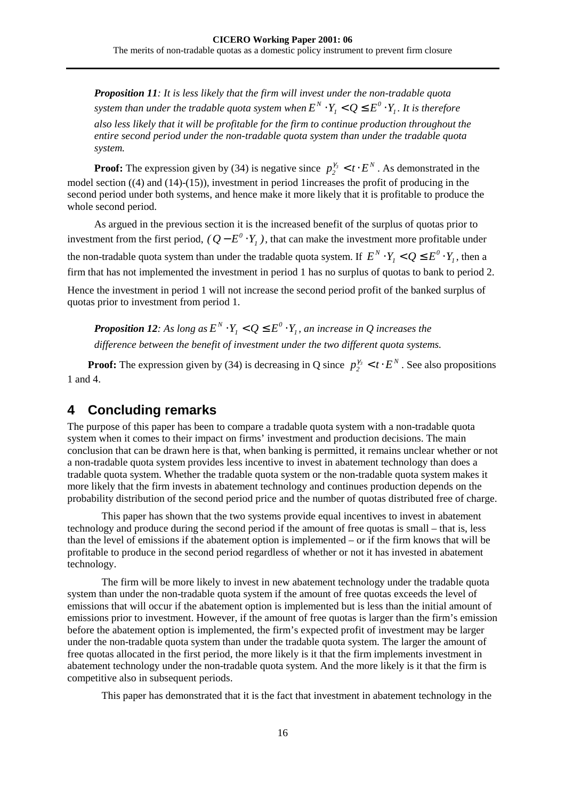<span id="page-18-0"></span>*Proposition 11: It is less likely that the firm will invest under the non-tradable quota system than under the tradable quota system when*  $E^N\cdot Y_{_I} < Q \leq E^0\cdot Y_{_I}$  $E^N \cdot Y_i < Q \leq E^0 \cdot Y_i$ . It is therefore *also less likely that it will be profitable for the firm to continue production throughout the entire second period under the non-tradable quota system than under the tradable quota system.* 

**Proof:** The expression given by [\(34\)](#page-17-0) is negative since  $p_2^{r_3} < t \cdot E^N$ . As demonstrated in the model section [\(\(4\)](#page-7-0) and [\(14\)-\(15\)\)](#page-9-0), investment in period 1increases the profit of producing in the second period under both systems, and hence make it more likely that it is profitable to produce the whole second period.

As argued in the previous section it is the increased benefit of the surplus of quotas prior to investment from the first period,  $(Q - E^0 \cdot Y_I)$ , that can make the investment more profitable under the non-tradable quota system than under the tradable quota system. If  $E^N \cdot Y_i < Q \leq E^0 \cdot Y_i$  $E^N \cdot Y_i < Q \leq E^0 \cdot Y_i$ , then a firm that has not implemented the investment in period 1 has no surplus of quotas to bank to period 2.

Hence the investment in period 1 will not increase the second period profit of the banked surplus of quotas prior to investment from period 1.

*Proposition 12:* As long as  $E^N \cdot Y_i < Q \leq E^0 \cdot Y_i$  $E^N \cdot Y_i < Q \leq E^0 \cdot Y_i$ , an increase in Q increases the *difference between the benefit of investment under the two different quota systems.* 

**Proof:** The expression given by [\(34\)](#page-17-0) is decreasing in Q since  $p_2^{r_3} < t \cdot E^N$ . See also propositions 1 and 4.

# **4 Concluding remarks**

The purpose of this paper has been to compare a tradable quota system with a non-tradable quota system when it comes to their impact on firms' investment and production decisions. The main conclusion that can be drawn here is that, when banking is permitted, it remains unclear whether or not a non-tradable quota system provides less incentive to invest in abatement technology than does a tradable quota system. Whether the tradable quota system or the non-tradable quota system makes it more likely that the firm invests in abatement technology and continues production depends on the probability distribution of the second period price and the number of quotas distributed free of charge.

This paper has shown that the two systems provide equal incentives to invest in abatement technology and produce during the second period if the amount of free quotas is small – that is, less than the level of emissions if the abatement option is implemented – or if the firm knows that will be profitable to produce in the second period regardless of whether or not it has invested in abatement technology.

The firm will be more likely to invest in new abatement technology under the tradable quota system than under the non-tradable quota system if the amount of free quotas exceeds the level of emissions that will occur if the abatement option is implemented but is less than the initial amount of emissions prior to investment. However, if the amount of free quotas is larger than the firm's emission before the abatement option is implemented, the firm's expected profit of investment may be larger under the non-tradable quota system than under the tradable quota system. The larger the amount of free quotas allocated in the first period, the more likely is it that the firm implements investment in abatement technology under the non-tradable quota system. And the more likely is it that the firm is competitive also in subsequent periods.

This paper has demonstrated that it is the fact that investment in abatement technology in the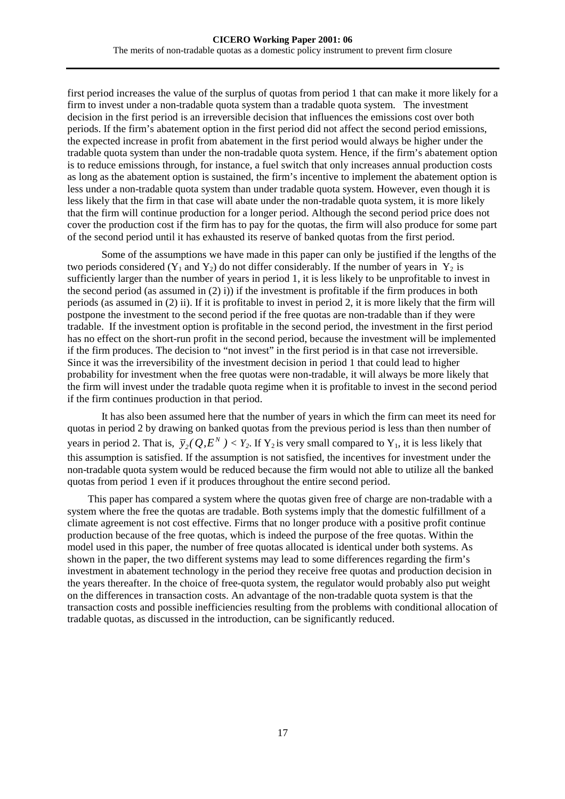first period increases the value of the surplus of quotas from period 1 that can make it more likely for a firm to invest under a non-tradable quota system than a tradable quota system. The investment decision in the first period is an irreversible decision that influences the emissions cost over both periods. If the firm's abatement option in the first period did not affect the second period emissions, the expected increase in profit from abatement in the first period would always be higher under the tradable quota system than under the non-tradable quota system. Hence, if the firm's abatement option is to reduce emissions through, for instance, a fuel switch that only increases annual production costs as long as the abatement option is sustained, the firm's incentive to implement the abatement option is less under a non-tradable quota system than under tradable quota system. However, even though it is less likely that the firm in that case will abate under the non-tradable quota system, it is more likely that the firm will continue production for a longer period. Although the second period price does not cover the production cost if the firm has to pay for the quotas, the firm will also produce for some part of the second period until it has exhausted its reserve of banked quotas from the first period.

Some of the assumptions we have made in this paper can only be justified if the lengths of the two periods considered  $(Y_1$  and  $Y_2$ ) do not differ considerably. If the number of years in  $Y_2$  is sufficiently larger than the number of years in period 1, it is less likely to be unprofitable to invest in the second period (as assumed in [\(2\)](#page-6-0) i)) if the investment is profitable if the firm produces in both periods (as assumed in [\(2\)](#page-6-0) ii). If it is profitable to invest in period 2, it is more likely that the firm will postpone the investment to the second period if the free quotas are non-tradable than if they were tradable. If the investment option is profitable in the second period, the investment in the first period has no effect on the short-run profit in the second period, because the investment will be implemented if the firm produces. The decision to "not invest" in the first period is in that case not irreversible. Since it was the irreversibility of the investment decision in period 1 that could lead to higher probability for investment when the free quotas were non-tradable, it will always be more likely that the firm will invest under the tradable quota regime when it is profitable to invest in the second period if the firm continues production in that period.

It has also been assumed here that the number of years in which the firm can meet its need for quotas in period 2 by drawing on banked quotas from the previous period is less than then number of years in period 2. That is,  $\bar{y}_2(Q, E^N) < Y_2$ . If  $Y_2$  is very small compared to  $Y_1$ , it is less likely that this assumption is satisfied. If the assumption is not satisfied, the incentives for investment under the non-tradable quota system would be reduced because the firm would not able to utilize all the banked quotas from period 1 even if it produces throughout the entire second period.

This paper has compared a system where the quotas given free of charge are non-tradable with a system where the free the quotas are tradable. Both systems imply that the domestic fulfillment of a climate agreement is not cost effective. Firms that no longer produce with a positive profit continue production because of the free quotas, which is indeed the purpose of the free quotas. Within the model used in this paper, the number of free quotas allocated is identical under both systems. As shown in the paper, the two different systems may lead to some differences regarding the firm's investment in abatement technology in the period they receive free quotas and production decision in the years thereafter. In the choice of free-quota system, the regulator would probably also put weight on the differences in transaction costs. An advantage of the non-tradable quota system is that the transaction costs and possible inefficiencies resulting from the problems with conditional allocation of tradable quotas, as discussed in the introduction, can be significantly reduced.